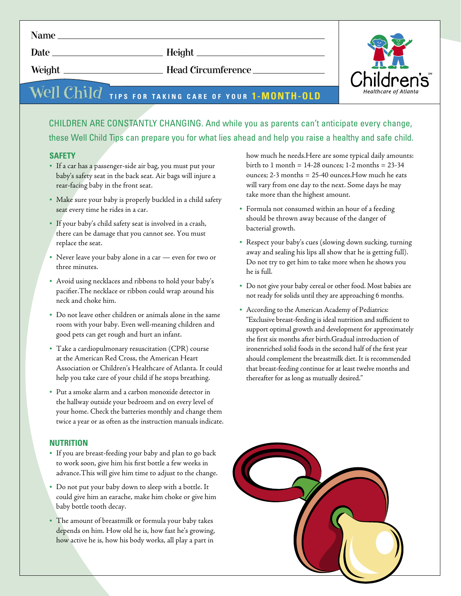*Date Height*

*Weight Head Circumference*

# $\widehat{\text{Well Child}}$  tips for taking care of your **1-month-old**

## CHILDREN ARE CONSTANTLY CHANGING. And while you as parents can't anticipate every change, these Well Child Tips can prepare you for what lies ahead and help you raise a healthy and safe child.

### **SAFETY**

- If a car has a passenger-side air bag, you must put your baby's safety seat in the back seat. Air bags will injure a rear-facing baby in the front seat.
- Make sure your baby is properly buckled in a child safety seat every time he rides in a car.
- If your baby's child safety seat is involved in a crash, there can be damage that you cannot see. You must replace the seat.
- Never leave your baby alone in a car even for two or three minutes.
- Avoid using necklaces and ribbons to hold your baby's pacifier.The necklace or ribbon could wrap around his neck and choke him.
- Do not leave other children or animals alone in the same room with your baby. Even well-meaning children and good pets can get rough and hurt an infant.
- Take a cardiopulmonary resuscitation (CPR) course at the American Red Cross, the American Heart Association or Children's Healthcare of Atlanta. It could help you take care of your child if he stops breathing.
- Put a smoke alarm and a carbon monoxide detector in the hallway outside your bedroom and on every level of your home. Check the batteries monthly and change them twice a year or as often as the instruction manuals indicate.

#### **NUTRITION**

- If you are breast-feeding your baby and plan to go back to work soon, give him his first bottle a few weeks in advance.This will give him time to adjust to the change.
- Do not put your baby down to sleep with a bottle. It could give him an earache, make him choke or give him baby bottle tooth decay.
- The amount of breastmilk or formula your baby takes depends on him. How old he is, how fast he's growing, how active he is, how his body works, all play a part in

how much he needs.Here are some typical daily amounts: birth to 1 month = 14-28 ounces; 1-2 months = 23-34 ounces; 2-3 months = 25-40 ounces.How much he eats will vary from one day to the next. Some days he may take more than the highest amount.

- Formula not consumed within an hour of a feeding should be thrown away because of the danger of bacterial growth.
- Respect your baby's cues (slowing down sucking, turning away and sealing his lips all show that he is getting full). Do not try to get him to take more when he shows you he is full.
- Do not give your baby cereal or other food. Most babies are not ready for solids until they are approaching 6 months.
- According to the American Academy of Pediatrics: "Exclusive breast-feeding is ideal nutrition and sufficient to support optimal growth and development for approximately the first six months after birth.Gradual introduction of ironenriched solid foods in the second half of the first year should complement the breastmilk diet. It is recommended that breast-feeding continue for at least twelve months and thereafter for as long as mutually desired."